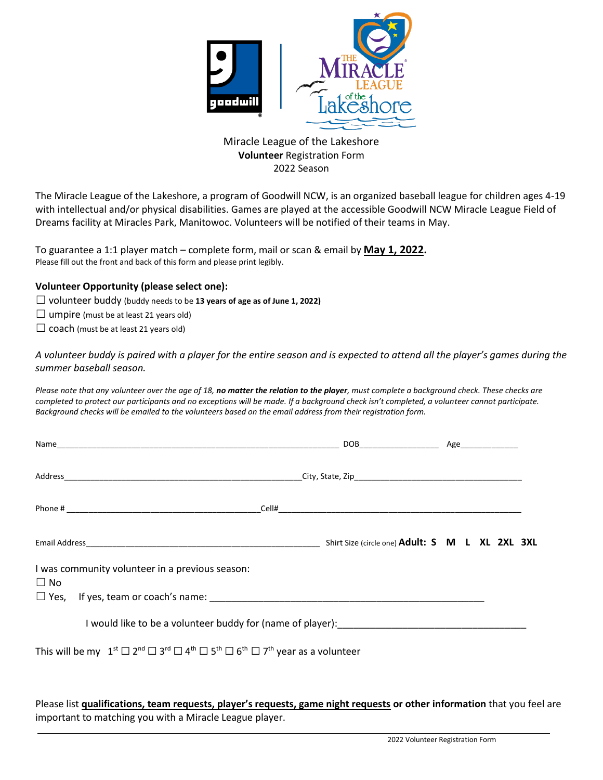

## Miracle League of the Lakeshore **Volunteer** Registration Form 2022 Season

The Miracle League of the Lakeshore, a program of Goodwill NCW, is an organized baseball league for children ages 4-19 with intellectual and/or physical disabilities. Games are played at the accessible Goodwill NCW Miracle League Field of Dreams facility at Miracles Park, Manitowoc. Volunteers will be notified of their teams in May.

To guarantee a 1:1 player match – complete form, mail or scan & email by **May 1, 2022.** Please fill out the front and back of this form and please print legibly.

## **Volunteer Opportunity (please select one):**

- ☐ volunteer buddy (buddy needs to be **13 years of age as of June 1, 2022)**
- $\Box$  umpire (must be at least 21 years old)
- $\Box$  coach (must be at least 21 years old)

 $\overline{\phantom{0}}$ 

*A volunteer buddy is paired with a player for the entire season and is expected to attend all the player's games during the summer baseball season.*

*Please note that any volunteer over the age of 18, no matter the relation to the player, must complete a background check. These checks are*  completed to protect our participants and no exceptions will be made. If a background check isn't completed, a volunteer cannot participate. *Background checks will be emailed to the volunteers based on the email address from their registration form.* 

| I was community volunteer in a previous season:<br>$\Box$ No                                                                                                   |  |  |
|----------------------------------------------------------------------------------------------------------------------------------------------------------------|--|--|
|                                                                                                                                                                |  |  |
|                                                                                                                                                                |  |  |
| This will be my $1^{st}$ $\square$ $2^{nd}$ $\square$ $3^{rd}$ $\square$ $4^{th}$ $\square$ $5^{th}$ $\square$ $5^{th}$ $\square$ $7^{th}$ year as a volunteer |  |  |

Please list **qualifications, team requests, player's requests, game night requests or other information** that you feel are important to matching you with a Miracle League player.